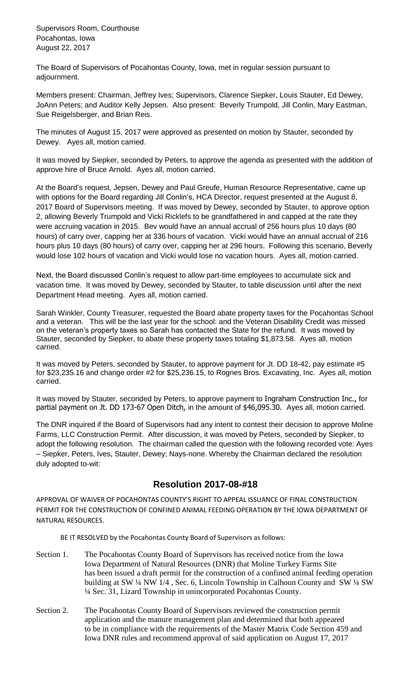Supervisors Room, Courthouse Pocahontas, Iowa August 22, 2017

The Board of Supervisors of Pocahontas County, Iowa, met in regular session pursuant to adjournment.

Members present: Chairman, Jeffrey Ives; Supervisors, Clarence Siepker, Louis Stauter, Ed Dewey, JoAnn Peters; and Auditor Kelly Jepsen. Also present: Beverly Trumpold, Jill Conlin, Mary Eastman, Sue Reigelsberger, and Brian Reis.

The minutes of August 15, 2017 were approved as presented on motion by Stauter, seconded by Dewey. Ayes all, motion carried.

It was moved by Siepker, seconded by Peters, to approve the agenda as presented with the addition of approve hire of Bruce Arnold. Ayes all, motion carried.

At the Board's request, Jepsen, Dewey and Paul Greufe, Human Resource Representative, came up with options for the Board regarding Jill Conlin's, HCA Director, request presented at the August 8, 2017 Board of Supervisors meeting. If was moved by Dewey, seconded by Stauter, to approve option 2, allowing Beverly Trumpold and Vicki Ricklefs to be grandfathered in and capped at the rate they were accruing vacation in 2015. Bev would have an annual accrual of 256 hours plus 10 days (80 hours) of carry over, capping her at 336 hours of vacation. Vicki would have an annual accrual of 216 hours plus 10 days (80 hours) of carry over, capping her at 296 hours. Following this scenario, Beverly would lose 102 hours of vacation and Vicki would lose no vacation hours. Ayes all, motion carried.

Next, the Board discussed Conlin's request to allow part-time employees to accumulate sick and vacation time. It was moved by Dewey, seconded by Stauter, to table discussion until after the next Department Head meeting. Ayes all, motion carried.

Sarah Winkler, County Treasurer, requested the Board abate property taxes for the Pocahontas School and a veteran. This will be the last year for the school: and the Veteran Disability Credit was missed on the veteran's property taxes so Sarah has contacted the State for the refund. It was moved by Stauter, seconded by Siepker, to abate these property taxes totaling \$1,873.58. Ayes all, motion carried.

It was moved by Peters, seconded by Stauter, to approve payment for Jt. DD 18-42, pay estimate #5 for \$23,235.16 and change order #2 for \$25,236.15, to Rognes Bros. Excavating, Inc. Ayes all, motion carried.

It was moved by Stauter, seconded by Peters, to approve payment to Ingraham Construction Inc., for partial payment on Jt. DD 173-67 Open Ditch, in the amount of \$46,095.30. Ayes all, motion carried.

The DNR inquired if the Board of Supervisors had any intent to contest their decision to approve Moline Farms, LLC Construction Permit. After discussion, it was moved by Peters, seconded by Siepker, to adopt the following resolution. The chairman called the question with the following recorded vote: Ayes – Siepker, Peters, Ives, Stauter, Dewey; Nays-none. Whereby the Chairman declared the resolution duly adopted to-wit:

## **Resolution 2017-08-#18**

APPROVAL OF WAIVER OF POCAHONTAS COUNTY'S RIGHT TO APPEAL ISSUANCE OF FINAL CONSTRUCTION PERMIT FOR THE CONSTRUCTION OF CONFINED ANIMAL FEEDING OPERATION BY THE IOWA DEPARTMENT OF NATURAL RESOURCES.

BE IT RESOLVED by the Pocahontas County Board of Supervisors as follows:

- Section 1. The Pocahontas County Board of Supervisors has received notice from the Iowa Iowa Department of Natural Resources (DNR) that Moline Turkey Farms Site has been issued a draft permit for the construction of a confined animal feeding operation building at SW ¼ NW 1/4 , Sec. 6, Lincoln Township in Calhoun County and SW ¼ SW ¼ Sec. 31, Lizard Township in unincorporated Pocahontas County.
- Section 2. The Pocahontas County Board of Supervisors reviewed the construction permit application and the manure management plan and determined that both appeared to be in compliance with the requirements of the Master Matrix Code Section 459 and Iowa DNR rules and recommend approval of said application on August 17, 2017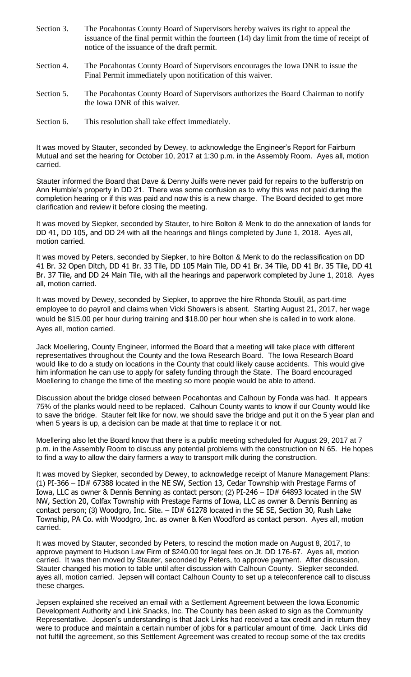- Section 3. The Pocahontas County Board of Supervisors hereby waives its right to appeal the issuance of the final permit within the fourteen (14) day limit from the time of receipt of notice of the issuance of the draft permit.
- Section 4. The Pocahontas County Board of Supervisors encourages the Iowa DNR to issue the Final Permit immediately upon notification of this waiver.
- Section 5. The Pocahontas County Board of Supervisors authorizes the Board Chairman to notify the Iowa DNR of this waiver.
- Section 6. This resolution shall take effect immediately.

It was moved by Stauter, seconded by Dewey, to acknowledge the Engineer's Report for Fairburn Mutual and set the hearing for October 10, 2017 at 1:30 p.m. in the Assembly Room. Ayes all, motion carried.

Stauter informed the Board that Dave & Denny Juilfs were never paid for repairs to the bufferstrip on Ann Humble's property in DD 21. There was some confusion as to why this was not paid during the completion hearing or if this was paid and now this is a new charge. The Board decided to get more clarification and review it before closing the meeting.

It was moved by Siepker, seconded by Stauter, to hire Bolton & Menk to do the annexation of lands for DD 41, DD 105, and DD 24 with all the hearings and filings completed by June 1, 2018. Ayes all, motion carried.

It was moved by Peters, seconded by Siepker, to hire Bolton & Menk to do the reclassification on DD 41 Br. 32 Open Ditch, DD 41 Br. 33 Tile, DD 105 Main Tile, DD 41 Br. 34 Tile, DD 41 Br. 35 Tile, DD 41 Br. 37 Tile, and DD 24 Main Tile, with all the hearings and paperwork completed by June 1, 2018. Ayes all, motion carried.

It was moved by Dewey, seconded by Siepker, to approve the hire Rhonda Stoulil, as part-time employee to do payroll and claims when Vicki Showers is absent. Starting August 21, 2017, her wage would be \$15.00 per hour during training and \$18.00 per hour when she is called in to work alone. Ayes all, motion carried.

Jack Moellering, County Engineer, informed the Board that a meeting will take place with different representatives throughout the County and the Iowa Research Board. The Iowa Research Board would like to do a study on locations in the County that could likely cause accidents. This would give him information he can use to apply for safety funding through the State. The Board encouraged Moellering to change the time of the meeting so more people would be able to attend.

Discussion about the bridge closed between Pocahontas and Calhoun by Fonda was had. It appears 75% of the planks would need to be replaced. Calhoun County wants to know if our County would like to save the bridge. Stauter felt like for now, we should save the bridge and put it on the 5 year plan and when 5 years is up, a decision can be made at that time to replace it or not.

Moellering also let the Board know that there is a public meeting scheduled for August 29, 2017 at 7 p.m. in the Assembly Room to discuss any potential problems with the construction on N 65. He hopes to find a way to allow the dairy farmers a way to transport milk during the construction.

It was moved by Siepker, seconded by Dewey, to acknowledge receipt of Manure Management Plans: (1) PI-366 – ID# 67388 located in the NE SW, Section 13, Cedar Township with Prestage Farms of Iowa, LLC as owner & Dennis Benning as contact person; (2) PI-246 – ID# 64893 located in the SW NW, Section 20, Colfax Township with Prestage Farms of Iowa, LLC as owner & Dennis Benning as contact person; (3) Woodgro, Inc. Site. - ID# 61278 located in the SE SE, Section 30, Rush Lake Township, PA Co. with Woodgro, Inc. as owner & Ken Woodford as contact person. Ayes all, motion carried.

It was moved by Stauter, seconded by Peters, to rescind the motion made on August 8, 2017, to approve payment to Hudson Law Firm of \$240.00 for legal fees on Jt. DD 176-67. Ayes all, motion carried. It was then moved by Stauter, seconded by Peters, to approve payment. After discussion, Stauter changed his motion to table until after discussion with Calhoun County. Siepker seconded. ayes all, motion carried. Jepsen will contact Calhoun County to set up a teleconference call to discuss these charges.

Jepsen explained she received an email with a Settlement Agreement between the Iowa Economic Development Authority and Link Snacks, Inc. The County has been asked to sign as the Community Representative. Jepsen's understanding is that Jack Links had received a tax credit and in return they were to produce and maintain a certain number of jobs for a particular amount of time. Jack Links did not fulfill the agreement, so this Settlement Agreement was created to recoup some of the tax credits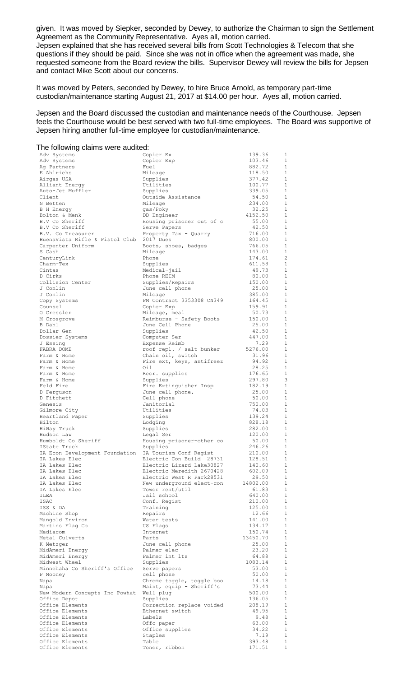given. It was moved by Siepker, seconded by Dewey, to authorize the Chairman to sign the Settlement Agreement as the Community Representative. Ayes all, motion carried.

Jepsen explained that she has received several bills from Scott Technologies & Telecom that she questions if they should be paid. Since she was not in office when the agreement was made, she requested someone from the Board review the bills. Supervisor Dewey will review the bills for Jepsen and contact Mike Scott about our concerns.

It was moved by Peters, seconded by Dewey, to hire Bruce Arnold, as temporary part-time custodian/maintenance starting August 21, 2017 at \$14.00 per hour. Ayes all, motion carried.

Jepsen and the Board discussed the custodian and maintenance needs of the Courthouse. Jepsen feels the Courthouse would be best served with two full-time employees. The Board was supportive of Jepsen hiring another full-time employee for custodian/maintenance.

| The following claims were audited:             |                                                        |                   |                              |
|------------------------------------------------|--------------------------------------------------------|-------------------|------------------------------|
| Adv Systems                                    | Copier Ex                                              | 139.36            | $\mathbf{1}$                 |
| Adv Systems                                    | Copier Exp                                             | 103.46            | 1                            |
| Ag Partners<br>E Ahlrichs                      | Fuel                                                   | 882.72            | $\mathbf{1}$<br>$\mathbf{1}$ |
| Airgas USA                                     | Mileage<br>Supplies                                    | 118.50<br>377.42  | $\mathbf{1}$                 |
| Alliant Energy                                 | Utilities                                              | 100.77            | $\mathbf{1}$                 |
| Auto-Jet Muffler                               | Supplies                                               | 339.05            | $\mathbf{1}$                 |
| Client                                         | Outside Assistance                                     | 54.50             | 1                            |
| N Betten                                       | Mileage                                                | 234.00            | $\mathbf{1}$                 |
| <b>B</b> H Energy                              | gas/Poky                                               | 32.25             | 1                            |
| Bolton & Menk                                  | DD Engineer                                            | 4152.50           | $\mathbf{1}$                 |
| B.V Co Sheriff<br>B.V Co Sheriff               | Housing prisoner out of c                              | 55.00<br>42.50    | 1<br>1                       |
| B.V. Co Treasurer                              | Serve Papers<br>Property Tax - Quarry                  | 716.00            | $\mathbf{1}$                 |
| BuenaVista Rifle & Pistol Club                 | 2017 Dues                                              | 800.00            | 1                            |
| Carpenter Uniform                              | Boots, shoes, badges                                   | 766.05            | $\mathbf{1}$                 |
| S Cash                                         | Mileage                                                | 143.00            | $\mathbf{1}$                 |
| CenturyLink                                    | Phone                                                  | 174.61            | $\overline{c}$               |
| Charm-Tex<br>Cintas                            | Supplies                                               | 611.58<br>49.73   | $\mathbf{1}$<br>1            |
| D Cirks                                        | Medical-jail<br>Phone REIM                             | 80.00             | 1                            |
| Collision Center                               | Supplies/Repairs                                       | 150.00            | $\mathbf{1}$                 |
| J Conlin                                       | June cell phone                                        | 25.00             | $\mathbf{1}$                 |
| J Conlin                                       | Mileage                                                | 385.00            | 1                            |
| Copy Systems                                   | PM Contract 3353308 CN349                              | 164.45            | $\mathbf{1}$                 |
| Counsel<br>O Cressler                          | Copier Exp                                             | 159.91<br>50.73   | $\mathbf{1}$<br>$\mathbf{1}$ |
| M Crosgrove                                    | Mileage, meal<br>Reimburse - Safety Boots              | 150.00            | $\mathbf{1}$                 |
| B Dahl                                         | June Cell Phone                                        | 25.00             | $\mathbf{1}$                 |
| Dollar Gen                                     | Supplies                                               | 42.50             | $\mathbf{1}$                 |
| Dossier Systems                                | Computer Ser                                           | 447.00            | 1                            |
| J Essing                                       | Expense Reimb                                          | 7.29              | 1                            |
| FABRA DOME                                     | roof repl. / salt bunker                               | 5276.00           | $\mathbf{1}$                 |
| Farm & Home<br>Farm & Home                     | Chain oil, switch<br>Fire ext, keys, antifreez         | 31.96<br>94.92    | $\mathbf{1}$<br>$\mathbf{1}$ |
| Farm & Home                                    | Oil                                                    | 28.25             | 1                            |
| Farm & Home                                    | Recr. supplies                                         | 176.65            | 1                            |
| Farm & Home                                    | Supplies                                               | 297.80            | 3                            |
| Feld Fire                                      | Fire Extinguisher Insp                                 | 182.19            | $\mathbf{1}$                 |
| D Ferguson                                     | June cell phone.                                       | 25.00             | $\mathbf{1}$                 |
| D Fitchett<br>Genesis                          | Cell phone<br>Janitorial                               | 50.00<br>750.00   | $\mathbf{1}$<br>$\mathbf{1}$ |
| Gilmore City                                   | Utilities                                              | 74.03             | $\mathbf{1}$                 |
| Heartland Paper                                | Supplies                                               | 139.24            | $\mathbf{1}$                 |
| Hilton                                         | Lodging                                                | 828.18            | $\mathbf{1}$                 |
| HiWay Truck                                    | Supplies                                               | 282.00            | $\mathbf{1}$                 |
| Hudson Law<br>Humboldt Co Sheriff              | Legal Ser                                              | 120.00<br>50.00   | $\mathbf{1}$<br>$\mathbf{1}$ |
| IState Truck                                   | Housing prisoner-other co<br>Supplies                  | 246.26            | $\mathbf 1$                  |
| IA Econ Development Foundation                 | IA Tourism Conf Regist                                 | 210.00            | $\mathbf{1}$                 |
| IA Lakes Elec                                  | Electric Con Build 28731                               | 128.51            | $\mathbf{1}$                 |
| IA Lakes Elec                                  | Electric Lizard Lake30827                              | 140.60            | $\mathbf{1}$                 |
| IA Lakes Elec                                  | Electric Meredith 2670428                              | 602.09            | $\mathbf{1}$                 |
| IA Lakes Elec<br>IA Lakes Elec                 | Electric West R Park28531<br>New underground elect-con | 29.50<br>14802.00 | $\mathbf{1}$<br>$\mathbf{1}$ |
| IA Lakes Elec                                  | Tower rent/util                                        | 61.83             | $\mathbf{1}$                 |
| ILEA                                           | Jail school                                            | 640.00            | $\mathbf{1}$                 |
| ISAC                                           | Conf. Regist                                           | 210.00            | $\mathbf{1}$                 |
| ISS & DA                                       | Training                                               | 125.00            | 1                            |
| Machine Shop                                   | Repairs                                                | 12.66             | $\mathbf{1}$                 |
| Mangold Environ<br>Martins Flag Co             | Water tests<br>US Flags                                | 141.00<br>134.17  | 1<br>$\mathbf{1}$            |
| Mediacom                                       | Internet                                               | 150.74            | $\mathbf{1}$                 |
| Metal Culverts                                 | Parts                                                  | 13450.70          | $\mathbf{1}$                 |
| K Metzger                                      | June cell phone                                        | 25.00             | $\mathbf{1}$                 |
| MidAmeri Energy                                | Palmer elec                                            | 23.20             | $\mathbf{1}$                 |
| MidAmeri Energy                                | Palmer int lts                                         | 64.88             | $\mathbf{1}$                 |
| Midwest Wheel<br>Minnehaha Co Sheriff's Office | Supplies<br>Serve papers                               | 1083.14<br>53.00  | $\mathbf{1}$<br>$\mathbf{1}$ |
| P Mooney                                       | cell phone                                             | 50.00             | $\mathbf{1}$                 |
| Napa                                           | Chrome toggle, toggle boo                              | 14.18             | $\mathbf{1}$                 |
| Napa                                           | Maint, equip - Sheriff's                               | 73.44             | $\mathbf{1}$                 |
| New Modern Concepts Inc Powhat                 | Well plug                                              | 500.00            | $\mathbf{1}$                 |
| Office Depot                                   | Supplies                                               | 136.05            | $\mathbf{1}$                 |
| Office Elements<br>Office Elements             | Correction-replace voided<br>Ethernet switch           | 208.19<br>49.95   | $\mathbf{1}$<br>1            |
| Office Elements                                | Labels                                                 | 9.48              | $\mathbf{1}$                 |
| Office Elements                                | Offc paper                                             | 63.00             | $\mathbf{1}$                 |
| Office Elements                                | Office supplies                                        | 34.22             | $\mathbf{1}$                 |
| Office Elements                                | Staples                                                | 7.19              | 1                            |
| Office Elements                                | Table                                                  | 393.48            | $1\,$                        |

Office Elements Toner, ribbon 171.51 1